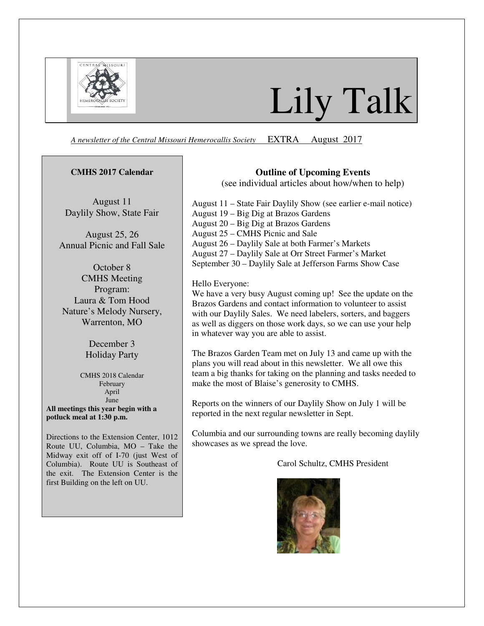

# Lily Talk

*A newsletter of the Central Missouri Hemerocallis Society* EXTRA August 2017

#### **CMHS 2017 Calendar**

August 11 Daylily Show, State Fair

August 25, 26 Annual Picnic and Fall Sale

October 8 CMHS Meeting Program: Laura & Tom Hood Nature's Melody Nursery, Warrenton, MO

> December 3 Holiday Party

CMHS 2018 Calendar February April June **All meetings this year begin with a potluck meal at 1:30 p.m.** 

Directions to the Extension Center, 1012 Route UU, Columbia, MO – Take the Midway exit off of I-70 (just West of Columbia). Route UU is Southeast of the exit. The Extension Center is the first Building on the left on UU.

### **Outline of Upcoming Events**

(see individual articles about how/when to help)

August 11 – State Fair Daylily Show (see earlier e-mail notice) August 19 – Big Dig at Brazos Gardens August 20 – Big Dig at Brazos Gardens August 25 – CMHS Picnic and Sale August 26 – Daylily Sale at both Farmer's Markets August 27 – Daylily Sale at Orr Street Farmer's Market September 30 – Daylily Sale at Jefferson Farms Show Case

Hello Everyone:

We have a very busy August coming up! See the update on the Brazos Gardens and contact information to volunteer to assist with our Daylily Sales. We need labelers, sorters, and baggers as well as diggers on those work days, so we can use your help in whatever way you are able to assist.

The Brazos Garden Team met on July 13 and came up with the plans you will read about in this newsletter. We all owe this team a big thanks for taking on the planning and tasks needed to make the most of Blaise's generosity to CMHS.

Reports on the winners of our Daylily Show on July 1 will be reported in the next regular newsletter in Sept.

Columbia and our surrounding towns are really becoming daylily showcases as we spread the love.

Carol Schultz, CMHS President

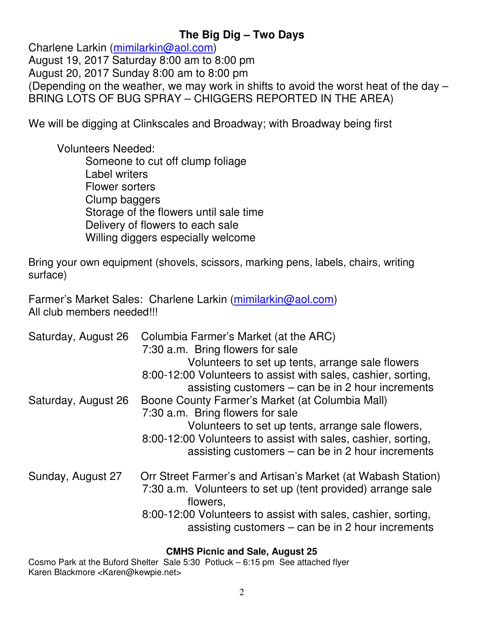# **The Big Dig – Two Days**

Charlene Larkin (mimilarkin@aol.com) August 19, 2017 Saturday 8:00 am to 8:00 pm August 20, 2017 Sunday 8:00 am to 8:00 pm (Depending on the weather, we may work in shifts to avoid the worst heat of the day – BRING LOTS OF BUG SPRAY – CHIGGERS REPORTED IN THE AREA)

We will be digging at Clinkscales and Broadway; with Broadway being first

Volunteers Needed:

Someone to cut off clump foliage Label writers Flower sorters Clump baggers Storage of the flowers until sale time Delivery of flowers to each sale Willing diggers especially welcome

Bring your own equipment (shovels, scissors, marking pens, labels, chairs, writing surface)

Farmer's Market Sales: Charlene Larkin (mimilarkin@aol.com) All club members needed!!!

| Saturday, August 26 | Columbia Farmer's Market (at the ARC)<br>7:30 a.m. Bring flowers for sale<br>Volunteers to set up tents, arrange sale flowers<br>8:00-12:00 Volunteers to assist with sales, cashier, sorting,<br>assisting customers – can be in 2 hour increments              |
|---------------------|------------------------------------------------------------------------------------------------------------------------------------------------------------------------------------------------------------------------------------------------------------------|
| Saturday, August 26 | Boone County Farmer's Market (at Columbia Mall)<br>7:30 a.m. Bring flowers for sale<br>Volunteers to set up tents, arrange sale flowers,<br>8:00-12:00 Volunteers to assist with sales, cashier, sorting,<br>assisting customers $-$ can be in 2 hour increments |
| Sunday, August 27   | Orr Street Farmer's and Artisan's Market (at Wabash Station)<br>7:30 a.m. Volunteers to set up (tent provided) arrange sale<br>flowers,<br>8:00-12:00 Volunteers to assist with sales, cashier, sorting,<br>assisting customers – can be in 2 hour increments    |

## **CMHS Picnic and Sale, August 25**

Cosmo Park at the Buford Shelter Sale 5:30 Potluck – 6:15 pm See attached flyer Karen Blackmore <Karen@kewpie.net>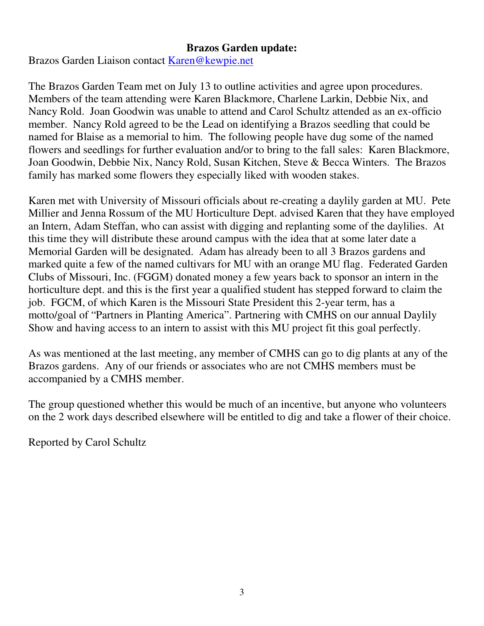# **Brazos Garden update:**

Brazos Garden Liaison contact Karen@kewpie.net

The Brazos Garden Team met on July 13 to outline activities and agree upon procedures. Members of the team attending were Karen Blackmore, Charlene Larkin, Debbie Nix, and Nancy Rold. Joan Goodwin was unable to attend and Carol Schultz attended as an ex-officio member. Nancy Rold agreed to be the Lead on identifying a Brazos seedling that could be named for Blaise as a memorial to him. The following people have dug some of the named flowers and seedlings for further evaluation and/or to bring to the fall sales: Karen Blackmore, Joan Goodwin, Debbie Nix, Nancy Rold, Susan Kitchen, Steve & Becca Winters. The Brazos family has marked some flowers they especially liked with wooden stakes.

Karen met with University of Missouri officials about re-creating a daylily garden at MU. Pete Millier and Jenna Rossum of the MU Horticulture Dept. advised Karen that they have employed an Intern, Adam Steffan, who can assist with digging and replanting some of the daylilies. At this time they will distribute these around campus with the idea that at some later date a Memorial Garden will be designated. Adam has already been to all 3 Brazos gardens and marked quite a few of the named cultivars for MU with an orange MU flag. Federated Garden Clubs of Missouri, Inc. (FGGM) donated money a few years back to sponsor an intern in the horticulture dept. and this is the first year a qualified student has stepped forward to claim the job. FGCM, of which Karen is the Missouri State President this 2-year term, has a motto/goal of "Partners in Planting America". Partnering with CMHS on our annual Daylily Show and having access to an intern to assist with this MU project fit this goal perfectly.

As was mentioned at the last meeting, any member of CMHS can go to dig plants at any of the Brazos gardens. Any of our friends or associates who are not CMHS members must be accompanied by a CMHS member.

The group questioned whether this would be much of an incentive, but anyone who volunteers on the 2 work days described elsewhere will be entitled to dig and take a flower of their choice.

Reported by Carol Schultz